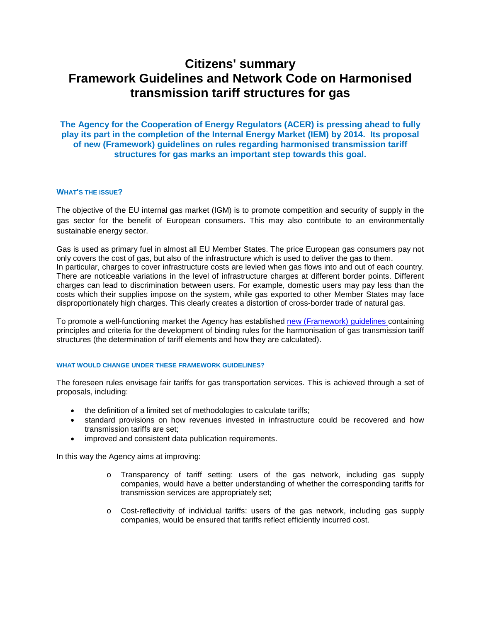# **Citizens' summary Framework Guidelines and Network Code on Harmonised transmission tariff structures for gas**

**The Agency for the Cooperation of Energy Regulators (ACER) is pressing ahead to fully play its part in the completion of the Internal Energy Market (IEM) by 2014. Its proposal of new (Framework) guidelines on rules regarding harmonised transmission tariff structures for gas marks an important step towards this goal.**

# **WHAT'S THE ISSUE?**

The objective of the EU internal gas market (IGM) is to promote competition and security of supply in the gas sector for the benefit of European consumers. This may also contribute to an environmentally sustainable energy sector.

Gas is used as primary fuel in almost all EU Member States. The price European gas consumers pay not only covers the cost of gas, but also of the infrastructure which is used to deliver the gas to them. In particular, charges to cover infrastructure costs are levied when gas flows into and out of each country. There are noticeable variations in the level of infrastructure charges at different border points. Different charges can lead to discrimination between users. For example, domestic users may pay less than the costs which their supplies impose on the system, while gas exported to other Member States may face disproportionately high charges. This clearly creates a distortion of cross-border trade of natural gas.

To promote a well-functioning market the Agency has established [new \(Framework\) guidelines c](http://www.acer.europa.eu/Official_documents/Acts_of_the_Agency/Framework_Guidelines/Framework%20Guidelines/Framework%20Guidelines%20on%20Harmonised%20Gas%20Transmission%20Tariff%20Structures.pdf)ontaining principles and criteria for the development of binding rules for the harmonisation of gas transmission tariff structures (the determination of tariff elements and how they are calculated).

## **WHAT WOULD CHANGE UNDER THESE FRAMEWORK GUIDELINES?**

The foreseen rules envisage fair tariffs for gas transportation services. This is achieved through a set of proposals, including:

- the definition of a limited set of methodologies to calculate tariffs;
- standard provisions on how revenues invested in infrastructure could be recovered and how transmission tariffs are set;
- improved and consistent data publication requirements.

In this way the Agency aims at improving:

- o Transparency of tariff setting: users of the gas network, including gas supply companies, would have a better understanding of whether the corresponding tariffs for transmission services are appropriately set;
- o Cost-reflectivity of individual tariffs: users of the gas network, including gas supply companies, would be ensured that tariffs reflect efficiently incurred cost.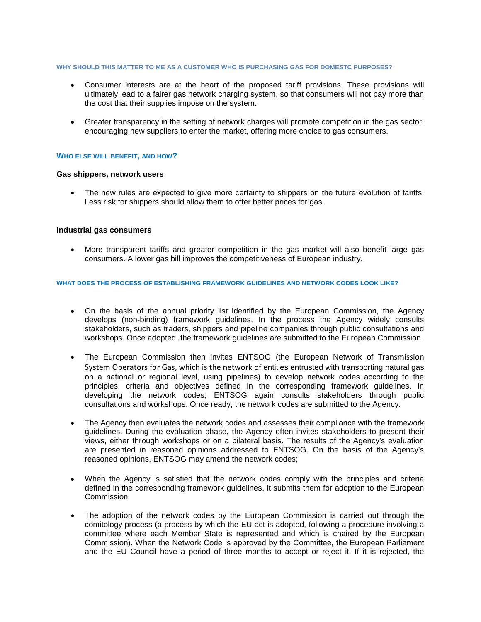## **WHY SHOULD THIS MATTER TO ME AS A CUSTOMER WHO IS PURCHASING GAS FOR DOMESTC PURPOSES?**

- Consumer interests are at the heart of the proposed tariff provisions. These provisions will ultimately lead to a fairer gas network charging system, so that consumers will not pay more than the cost that their supplies impose on the system.
- Greater transparency in the setting of network charges will promote competition in the gas sector, encouraging new suppliers to enter the market, offering more choice to gas consumers.

#### **WHO ELSE WILL BENEFIT, AND HOW?**

#### **Gas shippers, network users**

The new rules are expected to give more certainty to shippers on the future evolution of tariffs. Less risk for shippers should allow them to offer better prices for gas.

#### **Industrial gas consumers**

• More transparent tariffs and greater competition in the gas market will also benefit large gas consumers. A lower gas bill improves the competitiveness of European industry.

## **WHAT DOES THE PROCESS OF ESTABLISHING FRAMEWORK GUIDELINES AND NETWORK CODES LOOK LIKE?**

- On the basis of the annual priority list identified by the European Commission, the Agency develops (non-binding) framework guidelines. In the process the Agency widely consults stakeholders, such as traders, shippers and pipeline companies through public consultations and workshops. Once adopted, the framework guidelines are submitted to the European Commission.
- The European Commission then invites ENTSOG (the European Network of Transmission System Operators for Gas, which is the network of entities entrusted with transporting natural gas on a national or regional level, using pipelines) to develop network codes according to the principles, criteria and objectives defined in the corresponding framework guidelines. In developing the network codes, ENTSOG again consults stakeholders through public consultations and workshops. Once ready, the network codes are submitted to the Agency.
- The Agency then evaluates the network codes and assesses their compliance with the framework guidelines. During the evaluation phase, the Agency often invites stakeholders to present their views, either through workshops or on a bilateral basis. The results of the Agency's evaluation are presented in reasoned opinions addressed to ENTSOG. On the basis of the Agency's reasoned opinions, ENTSOG may amend the network codes;
- When the Agency is satisfied that the network codes comply with the principles and criteria defined in the corresponding framework guidelines, it submits them for adoption to the European Commission.
- The adoption of the network codes by the European Commission is carried out through the comitology process (a process by which the EU act is adopted, following a procedure involving a committee where each Member State is represented and which is chaired by the European Commission). When the Network Code is approved by the Committee, the European Parliament and the EU Council have a period of three months to accept or reject it. If it is rejected, the